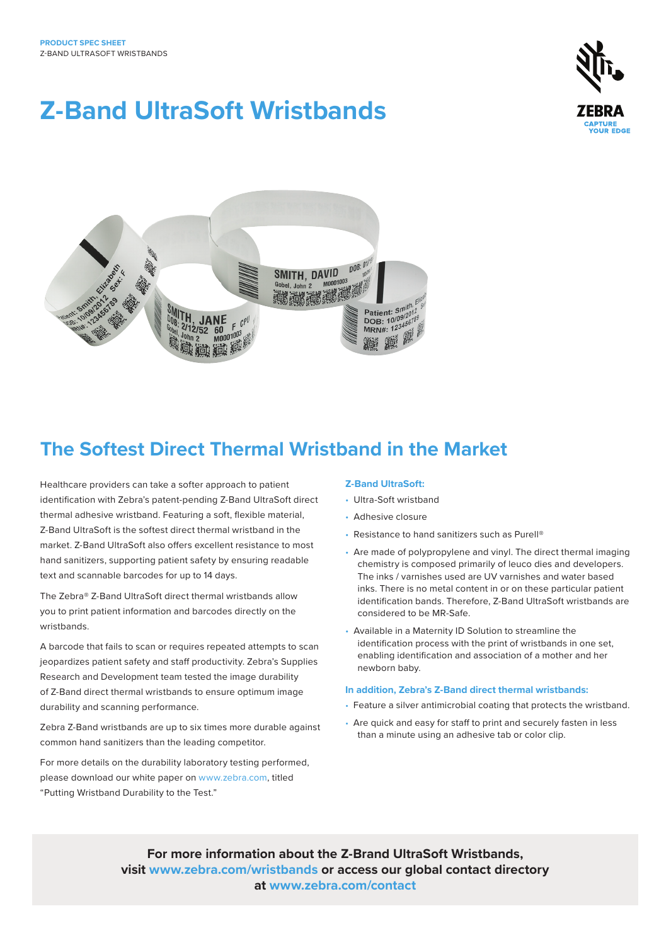# **Z-Band UltraSoft Wristbands**





# **The Softest Direct Thermal Wristband in the Market**

Healthcare providers can take a softer approach to patient identification with Zebra's patent-pending Z-Band UltraSoft direct thermal adhesive wristband. Featuring a soft, flexible material, Z-Band UltraSoft is the softest direct thermal wristband in the market. Z-Band UltraSoft also offers excellent resistance to most hand sanitizers, supporting patient safety by ensuring readable text and scannable barcodes for up to 14 days.

The Zebra® Z-Band UltraSoft direct thermal wristbands allow you to print patient information and barcodes directly on the wristbands.

A barcode that fails to scan or requires repeated attempts to scan jeopardizes patient safety and staff productivity. Zebra's Supplies Research and Development team tested the image durability of Z-Band direct thermal wristbands to ensure optimum image durability and scanning performance.

Zebra Z-Band wristbands are up to six times more durable against common hand sanitizers than the leading competitor.

For more details on the durability laboratory testing performed, please download our white paper on www.zebra.com, titled "Putting Wristband Durability to the Test."

#### **Z-Band UltraSoft:**

- Ultra-Soft wristband
- Adhesive closure
- Resistance to hand sanitizers such as Purell®
- Are made of polypropylene and vinyl. The direct thermal imaging chemistry is composed primarily of leuco dies and developers. The inks / varnishes used are UV varnishes and water based inks. There is no metal content in or on these particular patient identification bands. Therefore, Z-Band UltraSoft wristbands are considered to be MR-Safe.
- Available in a Maternity ID Solution to streamline the identification process with the print of wristbands in one set, enabling identification and association of a mother and her newborn baby.

#### **In addition, Zebra's Z-Band direct thermal wristbands:**

- Feature a silver antimicrobial coating that protects the wristband.
- Are quick and easy for staff to print and securely fasten in less than a minute using an adhesive tab or color clip.

**For more information about the Z-Brand UltraSoft Wristbands, visit www.zebra.com/wristbands or access our global contact directory at www.zebra.com/contact**